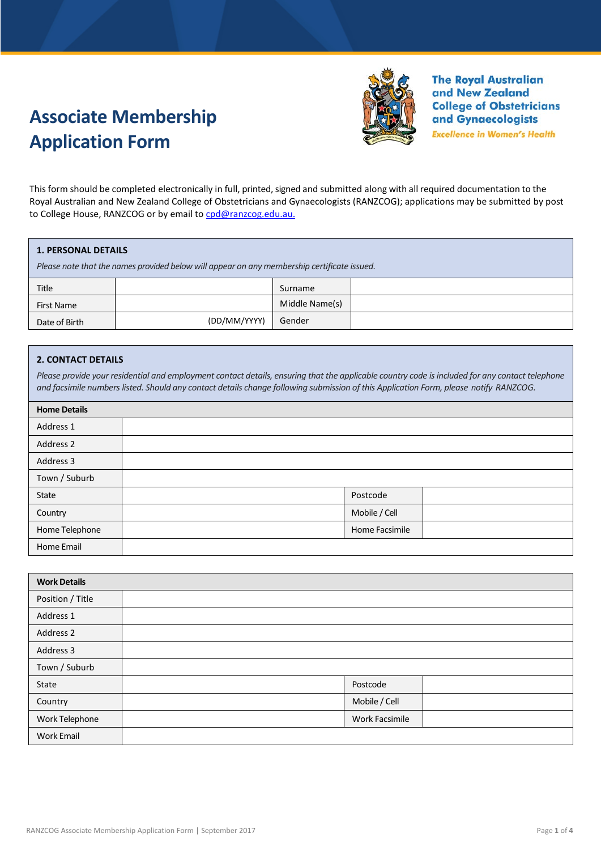# **Associate Membership Application Form**



**The Royal Australian** and New Zealand **College of Obstetricians** and Gynaecologists

**Excellence in Women's Health** 

This form should be completed electronically in full, printed, signed and submitted along with all required documentation to the Royal Australian and New Zealand College of Obstetricians and Gynaecologists (RANZCOG); applications may be submitted by post to College House, RANZCOG or by email to [cpd@ranzcog.edu.au.](mailto:cpd@ranzcog.edu.au)

#### **1. PERSONAL DETAILS**

*Please note that the names provided below will appear on any membership certificate issued.*

| Title         |              | Surname        |  |
|---------------|--------------|----------------|--|
| First Name    |              | Middle Name(s) |  |
| Date of Birth | (DD/MM/YYYY) | Gender         |  |

## **2. CONTACT DETAILS**

*Please provide your residential and employment contact details, ensuring that the applicable country code is included for any contact telephone and facsimile numbers listed. Should any contact details change following submission of this Application Form, please notify RANZCOG.*

| <b>Home Details</b> |  |                |  |
|---------------------|--|----------------|--|
| Address 1           |  |                |  |
| Address 2           |  |                |  |
| Address 3           |  |                |  |
| Town / Suburb       |  |                |  |
| State               |  | Postcode       |  |
| Country             |  | Mobile / Cell  |  |
| Home Telephone      |  | Home Facsimile |  |
| Home Email          |  |                |  |

| <b>Work Details</b> |                       |
|---------------------|-----------------------|
| Position / Title    |                       |
| Address 1           |                       |
| Address 2           |                       |
| Address 3           |                       |
| Town / Suburb       |                       |
| State               | Postcode              |
| Country             | Mobile / Cell         |
| Work Telephone      | <b>Work Facsimile</b> |
| <b>Work Email</b>   |                       |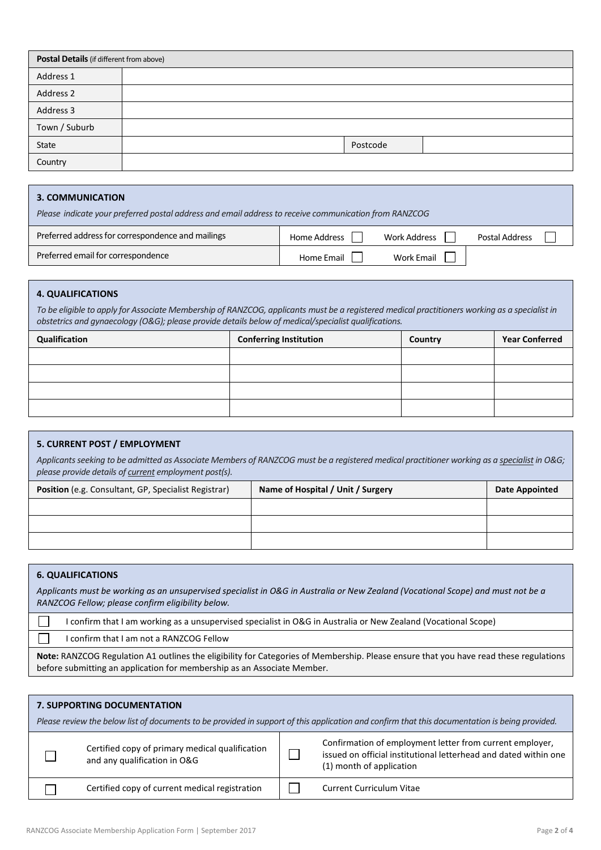| Postal Details (if different from above) |  |          |  |
|------------------------------------------|--|----------|--|
| Address 1                                |  |          |  |
| Address 2                                |  |          |  |
| Address 3                                |  |          |  |
| Town / Suburb                            |  |          |  |
| State                                    |  | Postcode |  |
| Country                                  |  |          |  |

# **3. COMMUNICATION**

| Please indicate your preferred postal address and email address to receive communication from RANZCOG |              |                     |                |  |
|-------------------------------------------------------------------------------------------------------|--------------|---------------------|----------------|--|
| Preferred address for correspondence and mailings                                                     | Home Address | <b>Work Address</b> | Postal Address |  |
| Preferred email for correspondence                                                                    | Home Email   | <b>Work Email</b>   |                |  |

## **4. QUALIFICATIONS**

*To be eligible to apply for Associate Membership of RANZCOG, applicants must be a registered medical practitioners working as a specialist in obstetrics and gynaecology (O&G); please provide details below of medical/specialist qualifications.* 

| Qualification | <b>Conferring Institution</b> | Country | <b>Year Conferred</b> |
|---------------|-------------------------------|---------|-----------------------|
|               |                               |         |                       |
|               |                               |         |                       |
|               |                               |         |                       |
|               |                               |         |                       |

# **5. CURRENT POST / EMPLOYMENT**

*Applicants seeking to be admitted as Associate Members of RANZCOG must be a registered medical practitioner working as a specialist in O&G; please provide details of current employment post(s).* 

| Position (e.g. Consultant, GP, Specialist Registrar) | Name of Hospital / Unit / Surgery | <b>Date Appointed</b> |
|------------------------------------------------------|-----------------------------------|-----------------------|
|                                                      |                                   |                       |
|                                                      |                                   |                       |
|                                                      |                                   |                       |

# **6. QUALIFICATIONS**

*Applicants must be working as an unsupervised specialist in O&G in Australia or New Zealand (Vocational Scope) and must not be a RANZCOG Fellow; please confirm eligibility below.*

| I confirm that I am working as a unsupervised specialist in O&G in Australia or New Zealand (Vocational Scope)               |
|------------------------------------------------------------------------------------------------------------------------------|
| I confirm that I am not a RANZCOG Fellow                                                                                     |
| Nets DANZCOC Besulation A1 quilippe the eligibility for Categorias of Mamphorehin, Blogen angusa that you have read those re |

**Note:** RANZCOG Regulation A1 outlines the eligibility for Categories of Membership. Please ensure that you have read these regulations before submitting an application for membership as an Associate Member.

| <b>7. SUPPORTING DOCUMENTATION</b><br>Please review the below list of documents to be provided in support of this application and confirm that this documentation is being provided. |                                                                                 |  |                                                                                                                                                          |  |
|--------------------------------------------------------------------------------------------------------------------------------------------------------------------------------------|---------------------------------------------------------------------------------|--|----------------------------------------------------------------------------------------------------------------------------------------------------------|--|
|                                                                                                                                                                                      | Certified copy of primary medical qualification<br>and any qualification in O&G |  | Confirmation of employment letter from current employer,<br>issued on official institutional letterhead and dated within one<br>(1) month of application |  |
|                                                                                                                                                                                      | Certified copy of current medical registration                                  |  | <b>Current Curriculum Vitae</b>                                                                                                                          |  |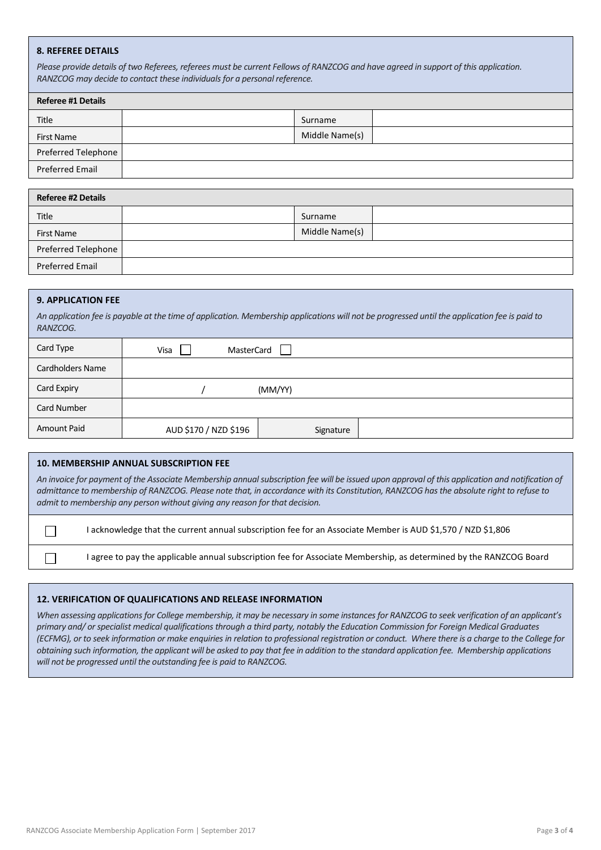#### **8. REFEREE DETAILS**

*Please provide details of two Referees, referees must be current Fellows of RANZCOG and have agreed in support of this application. RANZCOG may decide to contact these individuals for a personal reference.*

| <b>Referee #1 Details</b> |  |                |  |  |
|---------------------------|--|----------------|--|--|
| Title                     |  | Surname        |  |  |
| <b>First Name</b>         |  | Middle Name(s) |  |  |
| Preferred Telephone       |  |                |  |  |
| <b>Preferred Email</b>    |  |                |  |  |

| <b>Referee #2 Details</b> |  |                |  |  |
|---------------------------|--|----------------|--|--|
| Title                     |  | Surname        |  |  |
| <b>First Name</b>         |  | Middle Name(s) |  |  |
| Preferred Telephone       |  |                |  |  |
| Preferred Email           |  |                |  |  |

#### **9. APPLICATION FEE**

 $\Box$ 

 $\Box$ 

*An application fee is payable at the time of application. Membership applications will not be progressed until the application fee is paid to RANZCOG.*

| Card Type               | <b>MasterCard</b><br>Visa |           |  |
|-------------------------|---------------------------|-----------|--|
| <b>Cardholders Name</b> |                           |           |  |
| Card Expiry             | (MM/YY)                   |           |  |
| Card Number             |                           |           |  |
| Amount Paid             | AUD \$170 / NZD \$196     | Signature |  |

#### **10. MEMBERSHIP ANNUAL SUBSCRIPTION FEE**

*An invoice for payment of the Associate Membership annual subscription fee will be issued upon approval of this application and notification of admittance to membership of RANZCOG. Please note that, in accordance with its Constitution, RANZCOG has the absolute right to refuse to admit to membership any person without giving any reason for that decision.*

I acknowledge that the current annual subscription fee for an Associate Member is AUD \$1,570 / NZD \$1,806

I agree to pay the applicable annual subscription fee for Associate Membership, as determined by the RANZCOG Board

#### **12. VERIFICATION OF QUALIFICATIONS AND RELEASE INFORMATION**

*When assessing applications for College membership, it may be necessary in some instances for RANZCOG to seek verification of an applicant's primary and/ or specialist medical qualifications through a third party, notably the Education Commission for Foreign Medical Graduates (ECFMG), or to seek information or make enquiries in relation to professional registration or conduct. Where there is a charge to the College for obtaining such information, the applicant will be asked to pay that fee in addition to the standard application fee. Membership applications will not be progressed until the outstanding fee is paid to RANZCOG.*